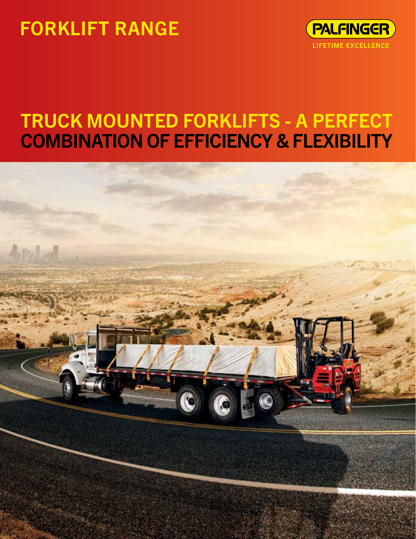## FORKLIFT RANGE



## TRUCK MOUNTED FORKLIFTS - A PERFECT COMBINATION OF EFFICIENCY & FLEXIBILITY

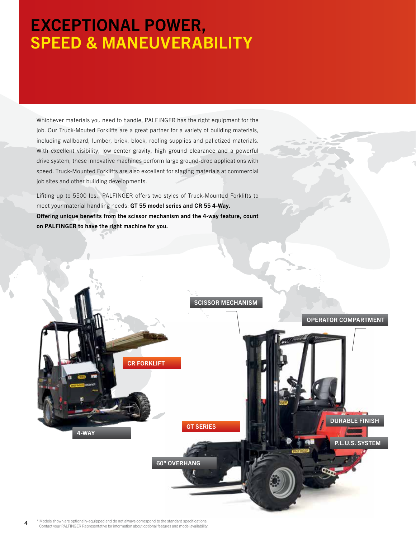## EXCEPTIONAL POWER, SPEED & MANEUVERABILITY

Whichever materials you need to handle, PALFINGER has the right equipment for the job. Our Truck-Mouted Forklifts are a great partner for a variety of building materials, including wallboard, lumber, brick, block, roofing supplies and palletized materials. With excellent visibility, low center gravity, high ground clearance and a powerful drive system, these innovative machines perform large ground-drop applications with speed. Truck-Mounted Forklifts are also excellent for staging materials at commercial job sites and other building developments.

Lifiting up to 5500 lbs., PALFINGER offers two styles of Truck-Mounted Forklifts to meet your material handling needs: GT 55 model series and CR 55 4-Way. Offering unique benefits from the scissor mechanism and the 4-way feature, count on PALFINGER to have the right machine for you.

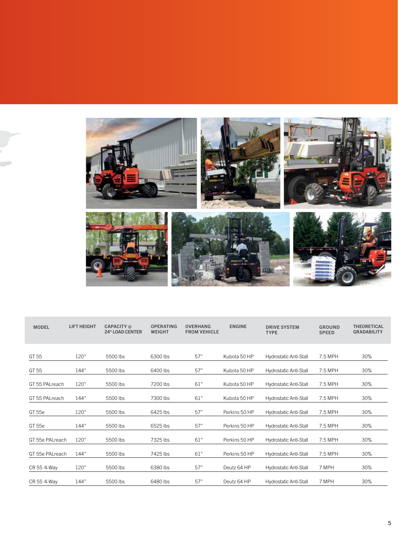

| <b>MODEL</b>    | <b>LIFT HEIGHT</b> | <b>CAPACITY</b> @<br><b>24" LOAD CENTER</b> | <b>OPERATING</b><br><b>WEIGHT</b> | <b>OVERHANG</b><br><b>FROM VEHICLE</b> | <b>ENGINE</b> | <b>DRIVE SYSTEM</b><br><b>TYPE</b> | <b>GROUND</b><br><b>SPEED</b> | <b>THEORETICAL</b><br><b>GRADABILITY</b> |
|-----------------|--------------------|---------------------------------------------|-----------------------------------|----------------------------------------|---------------|------------------------------------|-------------------------------|------------------------------------------|
|                 |                    |                                             |                                   |                                        |               |                                    |                               |                                          |
| GT 55           | 120"               | 5500 lbs                                    | 6300 lbs                          | 57"                                    | Kubota 50 HP  | <b>Hydrostatic Anti-Stall</b>      | 7.5 MPH                       | 30%                                      |
| GT 55           | 144"               | 5500 lbs                                    | 6400 lbs                          | 57"                                    | Kubota 50 HP  | <b>Hydrostatic Anti-Stall</b>      | 7.5 MPH                       | 30%                                      |
| GT 55 PALreach  | 120"               | 5500 lbs                                    | 7200 lbs                          | 61"                                    | Kubota 50 HP  | Hydrostatic Anti-Stall             | 7.5 MPH                       | 30%                                      |
| GT 55 PALreach  | 144"               | 5500 lbs                                    | 7300 lbs                          | 61"                                    | Kubota 50 HP  | <b>Hydrostatic Anti-Stall</b>      | 7.5 MPH                       | 30%                                      |
| GT 55e          | 120"               | 5500 lbs                                    | 6425 lbs                          | 57"                                    | Perkins 50 HP | <b>Hydrostatic Anti-Stall</b>      | 7.5 MPH                       | 30%                                      |
| GT 55e          | 144"               | 5500 lbs                                    | 6525 lbs                          | 57"                                    | Perkins 50 HP | <b>Hydrostatic Anti-Stall</b>      | 7.5 MPH                       | 30%                                      |
| GT 55e PALreach | 120"               | 5500 lbs                                    | 7325 lbs                          | 61"                                    | Perkins 50 HP | <b>Hydrostatic Anti-Stall</b>      | 7.5 MPH                       | 30%                                      |
| GT 55e PALreach | 144"               | 5500 lbs                                    | 7425 lbs                          | 61"                                    | Perkins 50 HP | <b>Hydrostatic Anti-Stall</b>      | 7.5 MPH                       | 30%                                      |
| CR 55 4-Way     | 120"               | 5500 lbs                                    | 6380 lbs                          | 57"                                    | Deutz 64 HP   | <b>Hydrostatic Anti-Stall</b>      | 7 MPH                         | 30%                                      |
| CR 55 4-Way     | 144"               | 5500 lbs                                    | 6480 lbs                          | 57"                                    | Deutz 64 HP   | Hydrostatic Anti-Stall             | 7 MPH                         | 30%                                      |